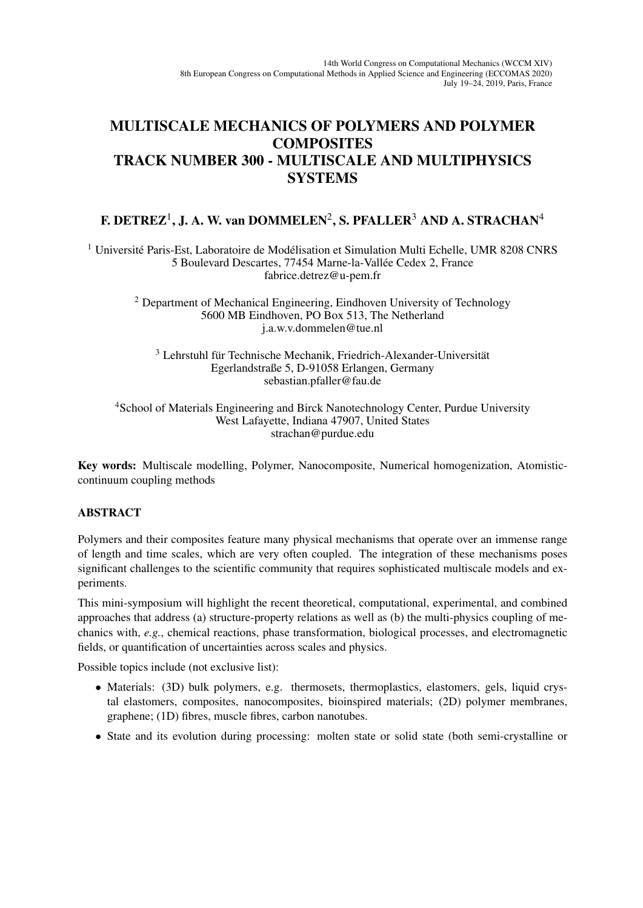## MULTISCALE MECHANICS OF POLYMERS AND POLYMER **COMPOSITES** TRACK NUMBER 300 - MULTISCALE AND MULTIPHYSICS **SYSTEMS**

## F. DETREZ $^1$ , J. A. W. van DOMMELEN $^2$ , S. PFALLER $^3$  AND A. STRACHAN $^4$

 $<sup>1</sup>$  Université Paris-Est, Laboratoire de Modélisation et Simulation Multi Echelle, UMR 8208 CNRS</sup> 5 Boulevard Descartes, 77454 Marne-la-Vallée Cedex 2, France fabrice.detrez@u-pem.fr

<sup>2</sup> Department of Mechanical Engineering, Eindhoven University of Technology 5600 MB Eindhoven, PO Box 513, The Netherland j.a.w.v.dommelen@tue.nl

 $3$  Lehrstuhl für Technische Mechanik, Friedrich-Alexander-Universität Egerlandstraße 5, D-91058 Erlangen, Germany sebastian.pfaller@fau.de

<sup>4</sup>School of Materials Engineering and Birck Nanotechnology Center, Purdue University West Lafayette, Indiana 47907, United States strachan@purdue.edu

Key words: Multiscale modelling, Polymer, Nanocomposite, Numerical homogenization, Atomisticcontinuum coupling methods

## ABSTRACT

Polymers and their composites feature many physical mechanisms that operate over an immense range of length and time scales, which are very often coupled. The integration of these mechanisms poses significant challenges to the scientific community that requires sophisticated multiscale models and experiments.

This mini-symposium will highlight the recent theoretical, computational, experimental, and combined approaches that address (a) structure-property relations as well as (b) the multi-physics coupling of mechanics with, *e.g.*, chemical reactions, phase transformation, biological processes, and electromagnetic fields, or quantification of uncertainties across scales and physics.

Possible topics include (not exclusive list):

- Materials: (3D) bulk polymers, e.g. thermosets, thermoplastics, elastomers, gels, liquid crystal elastomers, composites, nanocomposites, bioinspired materials; (2D) polymer membranes, graphene; (1D) fibres, muscle fibres, carbon nanotubes.
- State and its evolution during processing: molten state or solid state (both semi-crystalline or